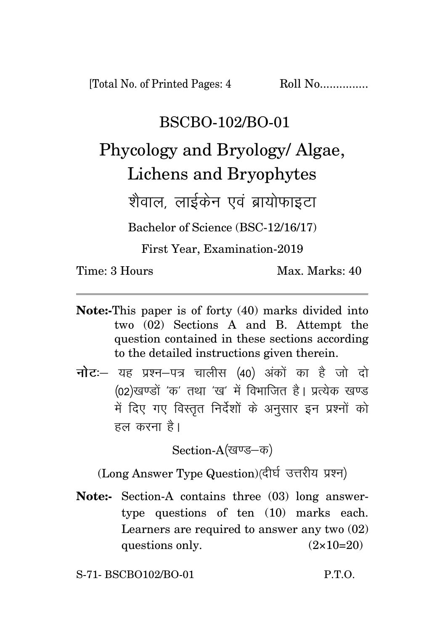[Total No. of Printed Pages: 4 Roll No...............

## BSCBO-102/BO-01

Phycology and Bryology/ Algae, Lichens and Bryophytes

शेवाल लाईकेन एवं बायोफाइटा

Bachelor of Science (BSC-12/16/17)

First Year, Examination-2019

Time: 3 Hours Max. Marks: 40

- **Note:-**This paper is of forty (40) marks divided into two (02) Sections A and B. Attempt the question contained in these sections according to the detailed instructions given therein.
- **नोट**: यह प्रश्न-पत्र चालीस (40) अंकों का है जो दो (02)खण्डों 'क' तथा 'ख' में विभाजित है। प्रत्येक खण्ड में दिए गए विस्तृत निर्देशों के अनुसार इन प्रश्नों को हल करना है।

Section-A(खण्ड–क)

(Long Answer Type Question)(दीर्घ उत्तरीय प्रश्न)

**Note:-** Section-A contains three (03) long answertype questions of ten (10) marks each. Learners are required to answer any two (02) questions only.  $(2 \times 10=20)$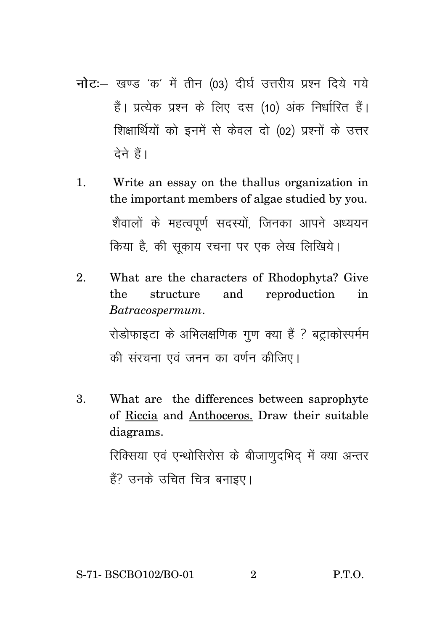- नोट:- खण्ड 'क' में तीन (03) दीर्घ उत्तरीय प्रश्न दिये गये हैं। प्रत्येक प्रश्न के लिए दस (10) अंक निर्धारित हैं। शिक्षार्थियों को इनमें से केवल दो (02) प्रश्नों के उत्तर टेने हैं।
- $\mathbf{1}$ Write an essay on the thallus organization in the important members of algae studied by you. शैवालों के महत्वपूर्ण सदस्यों, जिनका आपने अध्ययन किया है, की सकाय रचना पर एक लेख लिखिये।
- $\mathfrak{D}$ What are the characters of Rhodophyta? Give the structure and reproduction in Batracospermum. रोडोफाइटा के अभिलक्षणिक गुण क्या हैं ? बट्टाकोस्पर्मम की संरचना एवं जनन का वर्णन कीजिए।
- 3. What are the differences between saprophyte of Riccia and Anthoceros. Draw their suitable diagrams. रिक्सिया एवं एन्थोसिरोस के बीजाणुदभिद में क्या अन्तर हैं? उनके उचित चित्र बनाइए।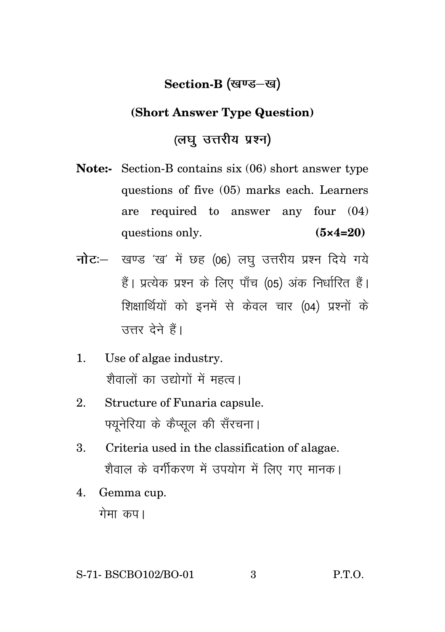## **Section-B** (खण्ड–ख)

## **(Short Answer Type Question)**

## *(लघु* उत्तरीय प्रश्न)

- **Note:-** Section-B contains six (06) short answer type questions of five (05) marks each. Learners are required to answer any four (04) questions only. **(5×4=20)**
- **नोट**: खण्ड 'ख' में छह (06) लघु उत्तरीय प्रश्न दिये गये हैं। प्रत्येक प्रश्न के लिए पाँच (05) अंक निर्धारित हैं। शिक्षार्थियों को इनमें से केवल चार (04) प्रश्नों के उत्तर देने हैं।
- 1. Use of algae industry. श्रीवालों का उद्योगों में महत्व।
- 2. Structure of Funaria capsule. पयुनेरिया के कैप्सुल की सँरचना।
- 3. Criteria used in the classification of alagae. शैवाल के वर्गीकरण में उपयोग में लिए गए मानक।
- 4. Gemma cup. गेमा कप।